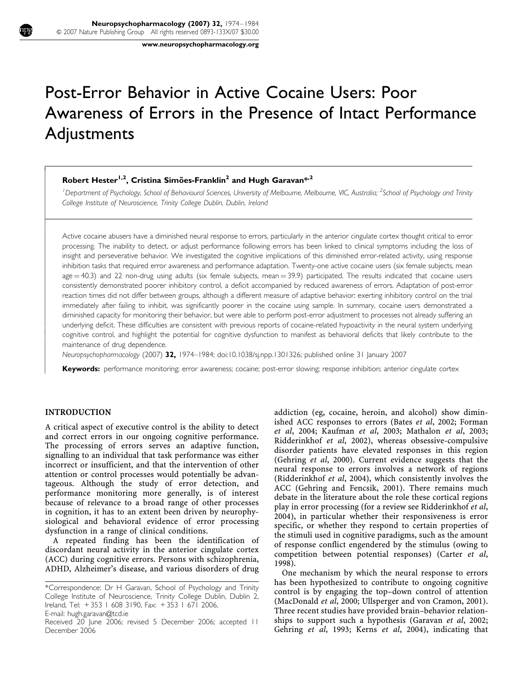www.neuropsychopharmacology.org

# Post-Error Behavior in Active Cocaine Users: Poor Awareness of Errors in the Presence of Intact Performance Adjustments

# Robert Hester<sup>1,2</sup>, Cristina Simões-Franklin<sup>2</sup> and Hugh Garavan<sup>\*,2</sup>

<sup>1</sup> Department of Psychology, School of Behavioural Sciences, University of Melboume, Melbourne, VIC, Australia; <sup>2</sup>School of Psychology and Trinity College Institute of Neuroscience, Trinity College Dublin, Dublin, Ireland

Active cocaine abusers have a diminished neural response to errors, particularly in the anterior cingulate cortex thought critical to error processing. The inability to detect, or adjust performance following errors has been linked to clinical symptoms including the loss of insight and perseverative behavior. We investigated the cognitive implications of this diminished error-related activity, using response inhibition tasks that required error awareness and performance adaptation. Twenty-one active cocaine users (six female subjects, mean  $age = 40.3$ ) and 22 non-drug using adults (six female subjects, mean  $= 39.9$ ) participated. The results indicated that cocaine users consistently demonstrated poorer inhibitory control, a deficit accompanied by reduced awareness of errors. Adaptation of post-error reaction times did not differ between groups, although a different measure of adaptive behavior: exerting inhibitory control on the trial immediately after failing to inhibit, was significantly poorer in the cocaine using sample. In summary, cocaine users demonstrated a diminished capacity for monitoring their behavior, but were able to perform post-error adjustment to processes not already suffering an underlying deficit. These difficulties are consistent with previous reports of cocaine-related hypoactivity in the neural system underlying cognitive control, and highlight the potential for cognitive dysfunction to manifest as behavioral deficits that likely contribute to the maintenance of drug dependence.

Neuropsychopharmacology (2007) 32, 1974–1984; doi:10.1038/sj.npp.1301326; published online 31 January 2007

Keywords: performance monitoring; error awareness; cocaine; post-error slowing; response inhibition; anterior cingulate cortex

# INTRODUCTION

 $\overline{1}$  $\overline{\phantom{a}}$  $\overline{\phantom{a}}$  $\overline{\phantom{a}}$  $\overline{\phantom{a}}$  $\overline{\phantom{a}}$  $\overline{\phantom{a}}$  $\overline{\phantom{a}}$  $\overline{\phantom{a}}$  $\overline{\phantom{a}}$  $\overline{\phantom{a}}$ ļ ľ  $\overline{\phantom{a}}$  $\overline{\phantom{a}}$  $\overline{\phantom{a}}$  $\overline{\phantom{a}}$  $\overline{\phantom{a}}$  $\overline{\phantom{a}}$  $\overline{\phantom{a}}$  $\overline{\phantom{a}}$  $\overline{\phantom{a}}$  $\overline{\phantom{a}}$  $\overline{\phantom{a}}$  $\overline{\phantom{a}}$  $\overline{\phantom{a}}$  $\overline{\phantom{a}}$  $\overline{\phantom{a}}$  $\overline{\phantom{a}}$  $\overline{\phantom{a}}$  $\overline{\phantom{a}}$  $\overline{\phantom{a}}$  $\overline{\phantom{a}}$  $\overline{\phantom{a}}$  $\overline{\phantom{a}}$  $\overline{\phantom{a}}$  $\overline{\phantom{a}}$  $\overline{\phantom{a}}$  $\overline{\phantom{a}}$  $\overline{\phantom{a}}$  $\overline{\phantom{a}}$  $\overline{\phantom{a}}$  $\overline{\phantom{a}}$  $\overline{\phantom{a}}$  $\overline{\phantom{a}}$ 

A critical aspect of executive control is the ability to detect and correct errors in our ongoing cognitive performance. The processing of errors serves an adaptive function, signalling to an individual that task performance was either incorrect or insufficient, and that the intervention of other attention or control processes would potentially be advantageous. Although the study of error detection, and performance monitoring more generally, is of interest because of relevance to a broad range of other processes in cognition, it has to an extent been driven by neurophysiological and behavioral evidence of error processing dysfunction in a range of clinical conditions.

A repeated finding has been the identification of discordant neural activity in the anterior cingulate cortex (ACC) during cognitive errors. Persons with schizophrenia, ADHD, Alzheimer's disease, and various disorders of drug

addiction (eg, cocaine, heroin, and alcohol) show diminished ACC responses to errors (Bates et al, 2002; Forman et al, 2004; Kaufman et al, 2003; Mathalon et al, 2003; Ridderinkhof et al, 2002), whereas obsessive-compulsive disorder patients have elevated responses in this region (Gehring et al, 2000). Current evidence suggests that the neural response to errors involves a network of regions (Ridderinkhof et al, 2004), which consistently involves the ACC (Gehring and Fencsik, 2001). There remains much debate in the literature about the role these cortical regions play in error processing (for a review see Ridderinkhof et al, 2004), in particular whether their responsiveness is error specific, or whether they respond to certain properties of the stimuli used in cognitive paradigms, such as the amount of response conflict engendered by the stimulus (owing to competition between potential responses) (Carter et al, 1998).

One mechanism by which the neural response to errors has been hypothesized to contribute to ongoing cognitive control is by engaging the top–down control of attention (MacDonald et al, 2000; Ullsperger and von Cramon, 2001). Three recent studies have provided brain–behavior relationships to support such a hypothesis (Garavan et al, 2002;

<sup>\*</sup>Correspondence: Dr H Garavan, School of Psychology and Trinity College Institute of Neuroscience, Trinity College Dublin, Dublin 2, Ireland, Tel: + 353 1 608 3190, Fax: + 353 1 671 2006, E-mail: hugh.garavan@tcd.ie

Received 20 June 2006; revised 5 December 2006; accepted 11 ships to support such a hypothesis (Garavan *et al*, 2002;<br>Gehring *et al*, 1993; Kerns *et al*, 2004), indicating that December 2006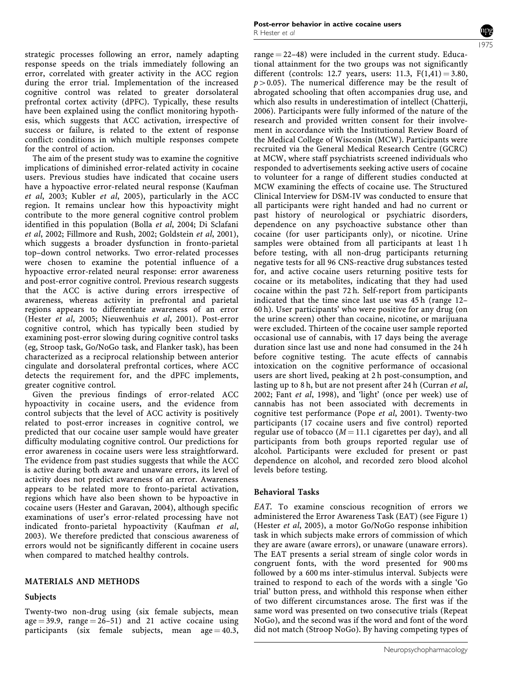strategic processes following an error, namely adapting response speeds on the trials immediately following an error, correlated with greater activity in the ACC region during the error trial. Implementation of the increased cognitive control was related to greater dorsolateral prefrontal cortex activity (dPFC). Typically, these results have been explained using the conflict monitoring hypothesis, which suggests that ACC activation, irrespective of success or failure, is related to the extent of response conflict: conditions in which multiple responses compete for the control of action.

The aim of the present study was to examine the cognitive implications of diminished error-related activity in cocaine users. Previous studies have indicated that cocaine users have a hypoactive error-related neural response (Kaufman et al, 2003; Kubler et al, 2005), particularly in the ACC region. It remains unclear how this hypoactivity might contribute to the more general cognitive control problem identified in this population (Bolla et al, 2004; Di Sclafani et al, 2002; Fillmore and Rush, 2002; Goldstein et al, 2001), which suggests a broader dysfunction in fronto-parietal top–down control networks. Two error-related processes were chosen to examine the potential influence of a hypoactive error-related neural response: error awareness and post-error cognitive control. Previous research suggests that the ACC is active during errors irrespective of awareness, whereas activity in prefrontal and parietal regions appears to differentiate awareness of an error (Hester et al, 2005; Nieuwenhuis et al, 2001). Post-error cognitive control, which has typically been studied by examining post-error slowing during cognitive control tasks (eg, Stroop task, Go/NoGo task, and Flanker task), has been characterized as a reciprocal relationship between anterior cingulate and dorsolateral prefrontal cortices, where ACC detects the requirement for, and the dPFC implements, greater cognitive control.

Given the previous findings of error-related ACC hypoactivity in cocaine users, and the evidence from control subjects that the level of ACC activity is positively related to post-error increases in cognitive control, we predicted that our cocaine user sample would have greater difficulty modulating cognitive control. Our predictions for error awareness in cocaine users were less straightforward. The evidence from past studies suggests that while the ACC is active during both aware and unaware errors, its level of activity does not predict awareness of an error. Awareness appears to be related more to fronto-parietal activation, regions which have also been shown to be hypoactive in cocaine users (Hester and Garavan, 2004), although specific examinations of user's error-related processing have not indicated fronto-parietal hypoactivity (Kaufman et al, 2003). We therefore predicted that conscious awareness of errors would not be significantly different in cocaine users when compared to matched healthy controls.

# MATERIALS AND METHODS

## Subjects

Twenty-two non-drug using (six female subjects, mean  $age = 39.9$ , range  $= 26-51$ ) and 21 active cocaine using participants (six female subjects, mean  $age = 40.3$ , range  $= 22-48$ ) were included in the current study. Educational attainment for the two groups was not significantly different (controls: 12.7 years, users: 11.3,  $F(1,41) = 3.80$ ,  $p > 0.05$ ). The numerical difference may be the result of abrogated schooling that often accompanies drug use, and which also results in underestimation of intellect (Chatterji, 2006). Participants were fully informed of the nature of the research and provided written consent for their involvement in accordance with the Institutional Review Board of the Medical College of Wisconsin (MCW). Participants were recruited via the General Medical Research Centre (GCRC) at MCW, where staff psychiatrists screened individuals who responded to advertisements seeking active users of cocaine to volunteer for a range of different studies conducted at MCW examining the effects of cocaine use. The Structured Clinical Interview for DSM-IV was conducted to ensure that all participants were right handed and had no current or past history of neurological or psychiatric disorders, dependence on any psychoactive substance other than cocaine (for user participants only), or nicotine. Urine samples were obtained from all participants at least 1 h before testing, with all non-drug participants returning negative tests for all 96 CNS-reactive drug substances tested for, and active cocaine users returning positive tests for cocaine or its metabolites, indicating that they had used cocaine within the past 72 h. Self-report from participants indicated that the time since last use was 45 h (range 12– 60 h). User participants' who were positive for any drug (on the urine screen) other than cocaine, nicotine, or marijuana were excluded. Thirteen of the cocaine user sample reported occasional use of cannabis, with 17 days being the average duration since last use and none had consumed in the 24 h before cognitive testing. The acute effects of cannabis intoxication on the cognitive performance of occasional users are short lived, peaking at 2 h post-consumption, and lasting up to 8 h, but are not present after 24 h (Curran *et al*, 2002; Fant et al, 1998), and 'light' (once per week) use of cannabis has not been associated with decrements in cognitive test performance (Pope et al, 2001). Twenty-two participants (17 cocaine users and five control) reported regular use of tobacco  $(M = 11.1$  cigarettes per day), and all participants from both groups reported regular use of alcohol. Participants were excluded for present or past dependence on alcohol, and recorded zero blood alcohol levels before testing.

# Behavioral Tasks

EAT. To examine conscious recognition of errors we administered the Error Awareness Task (EAT) (see Figure 1) (Hester et al, 2005), a motor Go/NoGo response inhibition task in which subjects make errors of commission of which they are aware (aware errors), or unaware (unaware errors). The EAT presents a serial stream of single color words in congruent fonts, with the word presented for 900 ms followed by a 600 ms inter-stimulus interval. Subjects were trained to respond to each of the words with a single 'Go trial' button press, and withhold this response when either of two different circumstances arose. The first was if the same word was presented on two consecutive trials (Repeat NoGo), and the second was if the word and font of the word did not match (Stroop NoGo). By having competing types of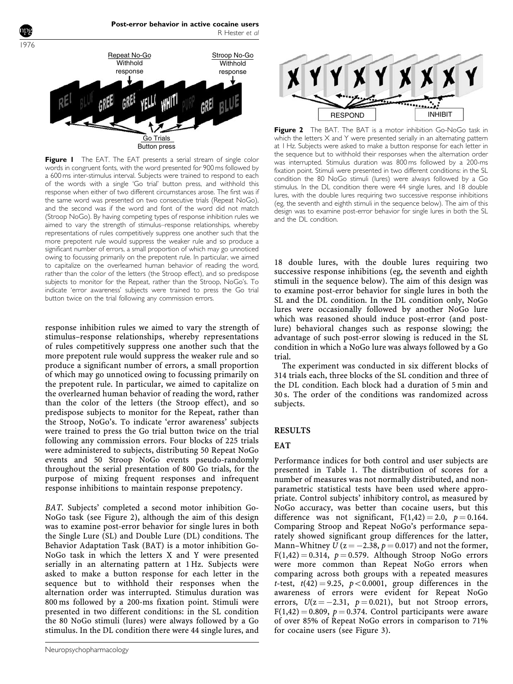

Figure I The EAT. The EAT presents a serial stream of single color words in congruent fonts, with the word presented for 900 ms followed by a 600 ms inter-stimulus interval. Subjects were trained to respond to each of the words with a single 'Go trial' button press, and withhold this response when either of two different circumstances arose. The first was if the same word was presented on two consecutive trials (Repeat NoGo), and the second was if the word and font of the word did not match (Stroop NoGo). By having competing types of response inhibition rules we aimed to vary the strength of stimulus–response relationships, whereby representations of rules competitively suppress one another such that the more prepotent rule would suppress the weaker rule and so produce a significant number of errors, a small proportion of which may go unnoticed owing to focussing primarily on the prepotent rule. In particular, we aimed to capitalize on the overlearned human behavior of reading the word, rather than the color of the letters (the Stroop effect), and so predispose subjects to monitor for the Repeat, rather than the Stroop, NoGo's. To indicate 'error awareness' subjects were trained to press the Go trial button twice on the trial following any commission errors.

response inhibition rules we aimed to vary the strength of stimulus–response relationships, whereby representations of rules competitively suppress one another such that the more prepotent rule would suppress the weaker rule and so produce a significant number of errors, a small proportion of which may go unnoticed owing to focussing primarily on the prepotent rule. In particular, we aimed to capitalize on the overlearned human behavior of reading the word, rather than the color of the letters (the Stroop effect), and so predispose subjects to monitor for the Repeat, rather than the Stroop, NoGo's. To indicate 'error awareness' subjects were trained to press the Go trial button twice on the trial following any commission errors. Four blocks of 225 trials were administered to subjects, distributing 50 Repeat NoGo events and 50 Stroop NoGo events pseudo-randomly throughout the serial presentation of 800 Go trials, for the purpose of mixing frequent responses and infrequent response inhibitions to maintain response prepotency.

BAT. Subjects' completed a second motor inhibition Go-NoGo task (see Figure 2), although the aim of this design was to examine post-error behavior for single lures in both the Single Lure (SL) and Double Lure (DL) conditions. The Behavior Adaptation Task (BAT) is a motor inhibition Go-NoGo task in which the letters X and Y were presented serially in an alternating pattern at 1 Hz. Subjects were asked to make a button response for each letter in the sequence but to withhold their responses when the alternation order was interrupted. Stimulus duration was 800 ms followed by a 200-ms fixation point. Stimuli were presented in two different conditions: in the SL condition the 80 NoGo stimuli (lures) were always followed by a Go stimulus. In the DL condition there were 44 single lures, and



Figure 2 The BAT. The BAT is a motor inhibition Go-NoGo task in which the letters  $X$  and  $Y$  were presented serially in an alternating pattern at 1 Hz. Subjects were asked to make a button response for each letter in the sequence but to withhold their responses when the alternation order was interrupted. Stimulus duration was 800 ms followed by a 200-ms fixation point. Stimuli were presented in two different conditions: in the SL condition the 80 NoGo stimuli (lures) were always followed by a Go stimulus. In the DL condition there were 44 single lures, and 18 double lures, with the double lures requiring two successive response inhibitions (eg, the seventh and eighth stimuli in the sequence below). The aim of this design was to examine post-error behavior for single lures in both the SL and the DL condition.

18 double lures, with the double lures requiring two successive response inhibitions (eg, the seventh and eighth stimuli in the sequence below). The aim of this design was to examine post-error behavior for single lures in both the SL and the DL condition. In the DL condition only, NoGo lures were occasionally followed by another NoGo lure which was reasoned should induce post-error (and postlure) behavioral changes such as response slowing; the advantage of such post-error slowing is reduced in the SL condition in which a NoGo lure was always followed by a Go trial.

The experiment was conducted in six different blocks of 314 trials each, three blocks of the SL condition and three of the DL condition. Each block had a duration of 5 min and 30 s. The order of the conditions was randomized across subjects.

# RESULTS

# EAT

Performance indices for both control and user subjects are presented in Table 1. The distribution of scores for a number of measures was not normally distributed, and nonparametric statistical tests have been used where appropriate. Control subjects' inhibitory control, as measured by NoGo accuracy, was better than cocaine users, but this difference was not significant,  $F(1,42) = 2.0$ ,  $p = 0.164$ . Comparing Stroop and Repeat NoGo's performance separately showed significant group differences for the latter, Mann–Whitney  $U\left(z=-2.38,\, p=0.017\right)$  and not the former,  $F(1,42) = 0.314$ ,  $p = 0.579$ . Although Stroop NoGo errors were more common than Repeat NoGo errors when comparing across both groups with a repeated measures t-test,  $t(42) = 9.25$ ,  $p < 0.0001$ , group differences in the awareness of errors were evident for Repeat NoGo errors,  $U(z = -2.31, p = 0.021)$ , but not Stroop errors,  $F(1,42) = 0.809$ ,  $p = 0.374$ . Control participants were aware of over 85% of Repeat NoGo errors in comparison to 71% for cocaine users (see Figure 3).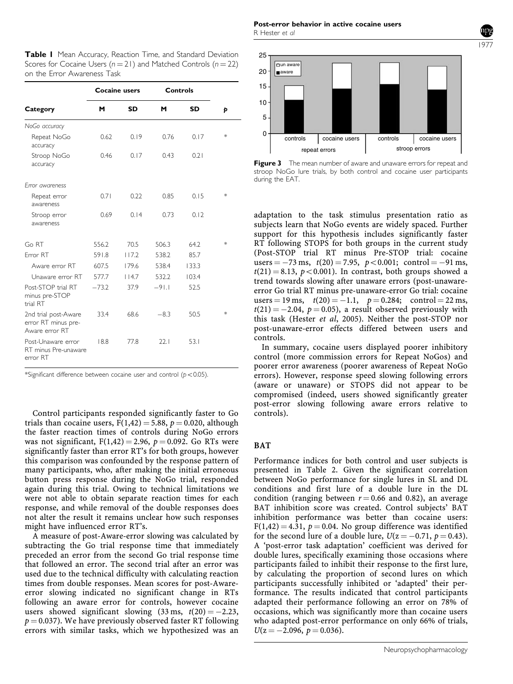Table I Mean Accuracy, Reaction Time, and Standard Deviation Scores for Cocaine Users ( $n = 21$ ) and Matched Controls ( $n = 22$ ) on the Error Awareness Task

|                                                               | <b>Cocaine users</b> |           | Controls |           |    |
|---------------------------------------------------------------|----------------------|-----------|----------|-----------|----|
| Category                                                      | м                    | <b>SD</b> | м        | <b>SD</b> | Þ  |
| NoGo accuracy                                                 |                      |           |          |           |    |
| Repeat NoGo<br>accuracy                                       | 0.62                 | 0.19      | 0.76     | 0.17      | ÷. |
| Stroop NoGo<br>accuracy                                       | 0.46                 | 0.17      | 0.43     | 0.21      |    |
| Frror awareness                                               |                      |           |          |           |    |
| Repeat error<br>awareness                                     | 0.71                 | 0.22      | 0.85     | 0.15      | *  |
| Stroop error<br>awareness                                     | 0.69                 | 0.14      | 0.73     | 0.12      |    |
| Go RT                                                         | 556.2                | 70.5      | 506.3    | 64.2      | *  |
| Fmor RT                                                       | 591.8                | 1172      | 5382     | 85.7      |    |
| Aware error RT                                                | 607.5                | 179.6     | 538.4    | 133.3     |    |
| Unaware error RT                                              | 577.7                | 114.7     | 532.2    | 103.4     |    |
| Post-STOP trial RT<br>minus pre-STOP<br>trial RT              | $-73.2$              | 37.9      | $-91.1$  | 52.5      |    |
| 2nd trial post-Aware<br>error RT minus pre-<br>Aware error RT | 33.4                 | 68.6      | $-8.3$   | 50.5      | ⋇  |
| Post-Unaware error<br>RT minus Pre-unaware<br>error RT        | 18.8                 | 77.8      | 22.1     | 53.1      |    |
|                                                               |                      |           |          |           |    |

\*Significant difference between cocaine user and control ( $p < 0.05$ ).

Control participants responded significantly faster to Go trials than cocaine users,  $F(1,42) = 5.88$ ,  $p = 0.020$ , although the faster reaction times of controls during NoGo errors was not significant,  $F(1,42) = 2.96$ ,  $p = 0.092$ . Go RTs were significantly faster than error RT's for both groups, however this comparison was confounded by the response pattern of many participants, who, after making the initial erroneous button press response during the NoGo trial, responded again during this trial. Owing to technical limitations we were not able to obtain separate reaction times for each response, and while removal of the double responses does not alter the result it remains unclear how such responses might have influenced error RT's.

A measure of post-Aware-error slowing was calculated by subtracting the Go trial response time that immediately preceded an error from the second Go trial response time that followed an error. The second trial after an error was used due to the technical difficulty with calculating reaction times from double responses. Mean scores for post-Awareerror slowing indicated no significant change in RTs following an aware error for controls, however cocaine users showed significant slowing  $(33 \text{ ms}, t(20) = -2.23,$  $p = 0.037$ ). We have previously observed faster RT following errors with similar tasks, which we hypothesized was an



Figure 3 The mean number of aware and unaware errors for repeat and stroop NoGo lure trials, by both control and cocaine user participants during the EAT.

adaptation to the task stimulus presentation ratio as subjects learn that NoGo events are widely spaced. Further support for this hypothesis includes significantly faster RT following STOPS for both groups in the current study (Post-STOP trial RT minus Pre-STOP trial: cocaine users  $= -73 \text{ ms}, t(20) = 7.95, p < 0.001; \text{ control} = -91 \text{ ms},$  $t(21) = 8.13$ ,  $p < 0.001$ ). In contrast, both groups showed a trend towards slowing after unaware errors (post-unawareerror Go trial RT minus pre-unaware-error Go trial: cocaine users = 19 ms,  $t(20) = -1.1$ ,  $p = 0.284$ ; control = 22 ms,  $t(21) = -2.04$ ,  $p = 0.05$ ), a result observed previously with this task (Hester et al, 2005). Neither the post-STOP nor post-unaware-error effects differed between users and controls.

In summary, cocaine users displayed poorer inhibitory control (more commission errors for Repeat NoGos) and poorer error awareness (poorer awareness of Repeat NoGo errors). However, response speed slowing following errors (aware or unaware) or STOPS did not appear to be compromised (indeed, users showed significantly greater post-error slowing following aware errors relative to controls).

# BAT

Performance indices for both control and user subjects is presented in Table 2. Given the significant correlation between NoGo performance for single lures in SL and DL conditions and first lure of a double lure in the DL condition (ranging between  $r = 0.66$  and 0.82), an average BAT inhibition score was created. Control subjects' BAT inhibition performance was better than cocaine users:  $F(1,42) = 4.31$ ,  $p = 0.04$ . No group difference was identified for the second lure of a double lure,  $U(\mathrm{z}=-0.71,\, p=0.43).$ A 'post-error task adaptation' coefficient was derived for double lures, specifically examining those occasions where participants failed to inhibit their response to the first lure, by calculating the proportion of second lures on which participants successfully inhibited or 'adapted' their performance. The results indicated that control participants adapted their performance following an error on 78% of occasions, which was significantly more than cocaine users who adapted post-error performance on only 66% of trials,  $U(z = -2.096, p = 0.036).$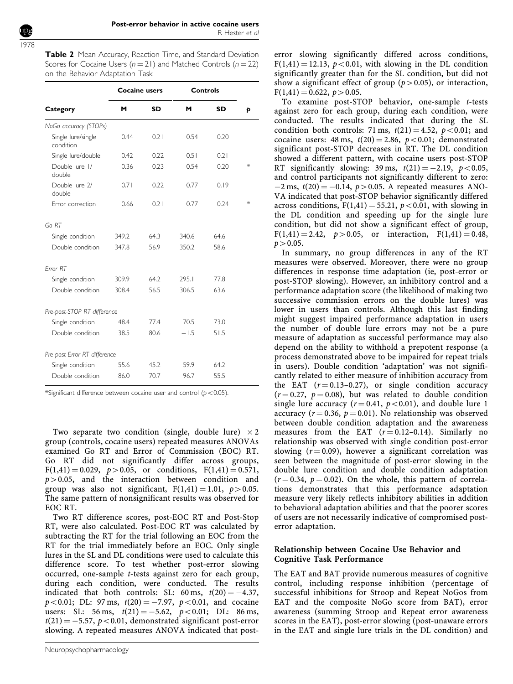Table 2 Mean Accuracy, Reaction Time, and Standard Deviation Scores for Cocaine Users  $(n = 21)$  and Matched Controls  $(n = 22)$ on the Behavior Adaptation Task

|                                 | Cocaine users |      | <b>Controls</b> |      |   |
|---------------------------------|---------------|------|-----------------|------|---|
| <b>Category</b>                 | м             | SD   | м               | SD   | Þ |
| NoGo accuracy (STOPs)           |               |      |                 |      |   |
| Single lure/single<br>condition | 0.44          | 0.21 | 0.54            | 0.20 |   |
| Single lure/double              | 0.42          | 0.22 | 0.51            | 0.21 |   |
| Double lure 1/<br>double        | 0.36          | 0.23 | 0.54            | 0.20 | * |
| Double lure 2/<br>double        | 0.71          | 0.22 | 0.77            | 0.19 |   |
| Error correction                | 0.66          | 0.21 | 0.77            | 0.24 | 米 |
| Go RT                           |               |      |                 |      |   |
| Single condition                | 349.2         | 64.3 | 340.6           | 64.6 |   |
| Double condition                | 347.8         | 56.9 | 350.2           | 58.6 |   |
| Frror RT                        |               |      |                 |      |   |
| Single condition                | 309.9         | 64.2 | 295.1           | 77.8 |   |
| Double condition                | 308.4         | 565  | 306.5           | 636  |   |
| Pre-post-STOP RT difference     |               |      |                 |      |   |
| Single condition                | 48.4          | 77.4 | 70.5            | 73.0 |   |
| Double condition                | 38.5          | 80.6 | $-1.5$          | 51.5 |   |
| Pre-post-Error RT difference    |               |      |                 |      |   |
| Single condition                | 55.6          | 45.2 | 59.9            | 64.2 |   |
| Double condition                | 86.0          | 70.7 | 96.7            | 55.5 |   |

\*Significant difference between cocaine user and control ( $p < 0.05$ ).

Two separate two condition (single, double lure)  $\times 2$ group (controls, cocaine users) repeated measures ANOVAs examined Go RT and Error of Commission (EOC) RT. Go RT did not significantly differ across groups,  $F(1,41) = 0.029$ ,  $p > 0.05$ , or conditions,  $F(1,41) = 0.571$ ,  $p > 0.05$ , and the interaction between condition and group was also not significant,  $F(1,41) = 1.01$ ,  $p > 0.05$ . The same pattern of nonsignificant results was observed for EOC RT.

Two RT difference scores, post-EOC RT and Post-Stop RT, were also calculated. Post-EOC RT was calculated by subtracting the RT for the trial following an EOC from the RT for the trial immediately before an EOC. Only single lures in the SL and DL conditions were used to calculate this difference score. To test whether post-error slowing occurred, one-sample t-tests against zero for each group, during each condition, were conducted. The results indicated that both controls: SL:  $60 \text{ ms}, t(20) = -4.37,$  $p < 0.01$ ; DL: 97 ms,  $t(20) = -7.97$ ,  $p < 0.01$ , and cocaine users: SL: 56 ms,  $t(21) = -5.62$ ,  $p < 0.01$ ; DL: 86 ms,  $t(21) = -5.57$ ,  $p < 0.01$ , demonstrated significant post-error slowing. A repeated measures ANOVA indicated that posterror slowing significantly differed across conditions,  $F(1,41) = 12.13$ ,  $p < 0.01$ , with slowing in the DL condition significantly greater than for the SL condition, but did not show a significant effect of group ( $p > 0.05$ ), or interaction,  $F(1,41) = 0.622, p > 0.05.$ 

To examine post-STOP behavior, one-sample t-tests against zero for each group, during each condition, were conducted. The results indicated that during the SL condition both controls: 71 ms,  $t(21) = 4.52$ ,  $p < 0.01$ ; and cocaine users: 48 ms,  $t(20) = 2.86$ ,  $p < 0.01$ ; demonstrated significant post-STOP decreases in RT. The DL condition showed a different pattern, with cocaine users post-STOP RT significantly slowing: 39 ms,  $t(21) = -2.19$ ,  $p < 0.05$ , and control participants not significantly different to zero:  $-2$  ms,  $t(20) = -0.14$ ,  $p > 0.05$ . A repeated measures ANO-VA indicated that post-STOP behavior significantly differed across conditions,  $F(1,41) = 55.21$ ,  $p < 0.01$ , with slowing in the DL condition and speeding up for the single lure condition, but did not show a significant effect of group,  $F(1,41) = 2.42$ ,  $p > 0.05$ , or interaction,  $F(1,41) = 0.48$ ,  $p > 0.05$ .

In summary, no group differences in any of the RT measures were observed. Moreover, there were no group differences in response time adaptation (ie, post-error or post-STOP slowing). However, an inhibitory control and a performance adaptation score (the likelihood of making two successive commission errors on the double lures) was lower in users than controls. Although this last finding might suggest impaired performance adaptation in users the number of double lure errors may not be a pure measure of adaptation as successful performance may also depend on the ability to withhold a prepotent response (a process demonstrated above to be impaired for repeat trials in users). Double condition 'adaptation' was not significantly related to either measure of inhibition accuracy from the EAT  $(r=0.13-0.27)$ , or single condition accuracy  $(r = 0.27, p = 0.08)$ , but was related to double condition single lure accuracy ( $r = 0.41$ ,  $p < 0.01$ ), and double lure 1 accuracy ( $r = 0.36$ ,  $p = 0.01$ ). No relationship was observed between double condition adaptation and the awareness measures from the EAT  $(r=0.12-0.14)$ . Similarly no relationship was observed with single condition post-error slowing  $(r = 0.09)$ , however a significant correlation was seen between the magnitude of post-error slowing in the double lure condition and double condition adaptation  $(r = 0.34, p = 0.02)$ . On the whole, this pattern of correlations demonstrates that this performance adaptation measure very likely reflects inhibitory abilities in addition to behavioral adaptation abilities and that the poorer scores of users are not necessarily indicative of compromised posterror adaptation.

# Relationship between Cocaine Use Behavior and Cognitive Task Performance

The EAT and BAT provide numerous measures of cognitive control, including response inhibition (percentage of successful inhibitions for Stroop and Repeat NoGos from EAT and the composite NoGo score from BAT), error awareness (summing Stroop and Repeat error awareness scores in the EAT), post-error slowing (post-unaware errors in the EAT and single lure trials in the DL condition) and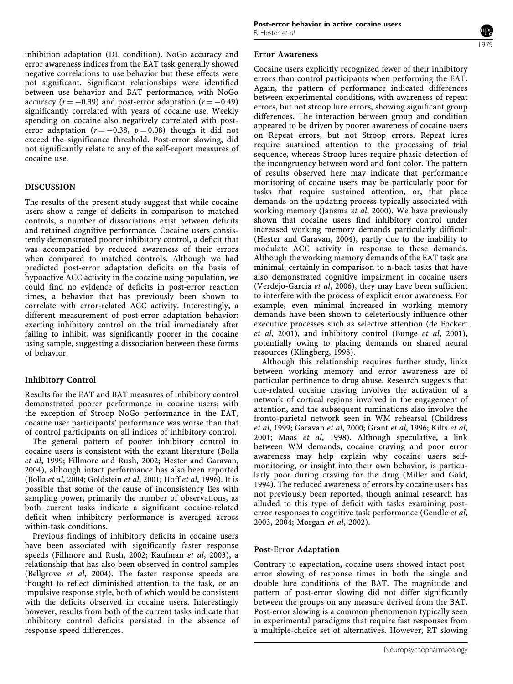inhibition adaptation (DL condition). NoGo accuracy and error awareness indices from the EAT task generally showed negative correlations to use behavior but these effects were not significant. Significant relationships were identified between use behavior and BAT performance, with NoGo accuracy ( $r = -0.39$ ) and post-error adaptation ( $r = -0.49$ ) significantly correlated with years of cocaine use. Weekly spending on cocaine also negatively correlated with posterror adaptation ( $r = -0.38$ ,  $p = 0.08$ ) though it did not exceed the significance threshold. Post-error slowing, did not significantly relate to any of the self-report measures of cocaine use.

## DISCUSSION

The results of the present study suggest that while cocaine users show a range of deficits in comparison to matched controls, a number of dissociations exist between deficits and retained cognitive performance. Cocaine users consistently demonstrated poorer inhibitory control, a deficit that was accompanied by reduced awareness of their errors when compared to matched controls. Although we had predicted post-error adaptation deficits on the basis of hypoactive ACC activity in the cocaine using population, we could find no evidence of deficits in post-error reaction times, a behavior that has previously been shown to correlate with error-related ACC activity. Interestingly, a different measurement of post-error adaptation behavior: exerting inhibitory control on the trial immediately after failing to inhibit, was significantly poorer in the cocaine using sample, suggesting a dissociation between these forms of behavior.

### Inhibitory Control

Results for the EAT and BAT measures of inhibitory control demonstrated poorer performance in cocaine users; with the exception of Stroop NoGo performance in the EAT, cocaine user participants' performance was worse than that of control participants on all indices of inhibitory control.

The general pattern of poorer inhibitory control in cocaine users is consistent with the extant literature (Bolla et al, 1999; Fillmore and Rush, 2002; Hester and Garavan, 2004), although intact performance has also been reported (Bolla et al, 2004; Goldstein et al, 2001; Hoff et al, 1996). It is possible that some of the cause of inconsistency lies with sampling power, primarily the number of observations, as both current tasks indicate a significant cocaine-related deficit when inhibitory performance is averaged across within-task conditions.

Previous findings of inhibitory deficits in cocaine users have been associated with significantly faster response speeds (Fillmore and Rush, 2002; Kaufman et al, 2003), a relationship that has also been observed in control samples (Bellgrove et al, 2004). The faster response speeds are thought to reflect diminished attention to the task, or an impulsive response style, both of which would be consistent with the deficits observed in cocaine users. Interestingly however, results from both of the current tasks indicate that inhibitory control deficits persisted in the absence of response speed differences.

### Error Awareness

Cocaine users explicitly recognized fewer of their inhibitory errors than control participants when performing the EAT. Again, the pattern of performance indicated differences between experimental conditions, with awareness of repeat errors, but not stroop lure errors, showing significant group differences. The interaction between group and condition appeared to be driven by poorer awareness of cocaine users on Repeat errors, but not Stroop errors. Repeat lures require sustained attention to the processing of trial sequence, whereas Stroop lures require phasic detection of the incongruency between word and font color. The pattern of results observed here may indicate that performance monitoring of cocaine users may be particularly poor for tasks that require sustained attention, or, that place demands on the updating process typically associated with working memory (Jansma et al, 2000). We have previously shown that cocaine users find inhibitory control under increased working memory demands particularly difficult (Hester and Garavan, 2004), partly due to the inability to modulate ACC activity in response to these demands. Although the working memory demands of the EAT task are minimal, certainly in comparison to n-back tasks that have also demonstrated cognitive impairment in cocaine users (Verdejo-Garcia et al, 2006), they may have been sufficient to interfere with the process of explicit error awareness. For example, even minimal increased in working memory demands have been shown to deleteriously influence other executive processes such as selective attention (de Fockert et al, 2001), and inhibitory control (Bunge et al, 2001), potentially owing to placing demands on shared neural resources (Klingberg, 1998).

Although this relationship requires further study, links between working memory and error awareness are of particular pertinence to drug abuse. Research suggests that cue-related cocaine craving involves the activation of a network of cortical regions involved in the engagement of attention, and the subsequent ruminations also involve the fronto-parietal network seen in WM rehearsal (Childress et al, 1999; Garavan et al, 2000; Grant et al, 1996; Kilts et al, 2001; Maas et al, 1998). Although speculative, a link between WM demands, cocaine craving and poor error awareness may help explain why cocaine users selfmonitoring, or insight into their own behavior, is particularly poor during craving for the drug (Miller and Gold, 1994). The reduced awareness of errors by cocaine users has not previously been reported, though animal research has alluded to this type of deficit with tasks examining posterror responses to cognitive task performance (Gendle et al, 2003, 2004; Morgan et al, 2002).

## Post-Error Adaptation

Contrary to expectation, cocaine users showed intact posterror slowing of response times in both the single and double lure conditions of the BAT. The magnitude and pattern of post-error slowing did not differ significantly between the groups on any measure derived from the BAT. Post-error slowing is a common phenomenon typically seen in experimental paradigms that require fast responses from a multiple-choice set of alternatives. However, RT slowing

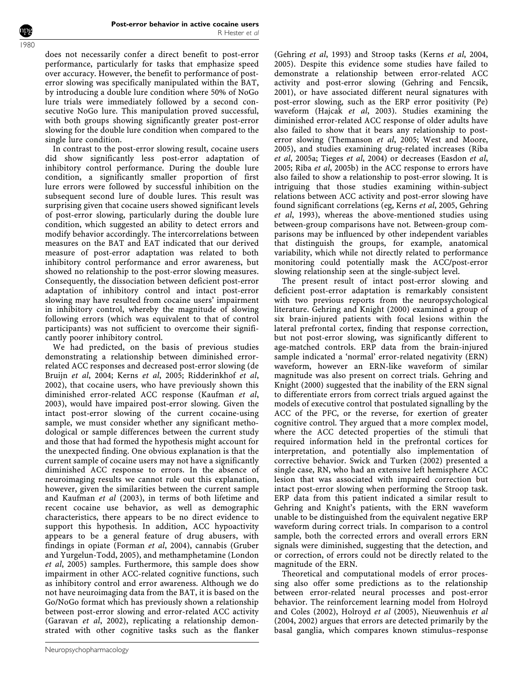does not necessarily confer a direct benefit to post-error performance, particularly for tasks that emphasize speed over accuracy. However, the benefit to performance of posterror slowing was specifically manipulated within the BAT, by introducing a double lure condition where 50% of NoGo lure trials were immediately followed by a second consecutive NoGo lure. This manipulation proved successful, with both groups showing significantly greater post-error slowing for the double lure condition when compared to the single lure condition.

In contrast to the post-error slowing result, cocaine users did show significantly less post-error adaptation of inhibitory control performance. During the double lure condition, a significantly smaller proportion of first lure errors were followed by successful inhibition on the subsequent second lure of double lures. This result was surprising given that cocaine users showed significant levels of post-error slowing, particularly during the double lure condition, which suggested an ability to detect errors and modify behavior accordingly. The intercorrelations between measures on the BAT and EAT indicated that our derived measure of post-error adaptation was related to both inhibitory control performance and error awareness, but showed no relationship to the post-error slowing measures. Consequently, the dissociation between deficient post-error adaptation of inhibitory control and intact post-error slowing may have resulted from cocaine users' impairment in inhibitory control, whereby the magnitude of slowing following errors (which was equivalent to that of control participants) was not sufficient to overcome their significantly poorer inhibitory control.

We had predicted, on the basis of previous studies demonstrating a relationship between diminished errorrelated ACC responses and decreased post-error slowing (de Bruijn et al, 2004; Kerns et al, 2005; Ridderinkhof et al, 2002), that cocaine users, who have previously shown this diminished error-related ACC response (Kaufman et al, 2003), would have impaired post-error slowing. Given the intact post-error slowing of the current cocaine-using sample, we must consider whether any significant methodological or sample differences between the current study and those that had formed the hypothesis might account for the unexpected finding. One obvious explanation is that the current sample of cocaine users may not have a significantly diminished ACC response to errors. In the absence of neuroimaging results we cannot rule out this explanation, however, given the similarities between the current sample and Kaufman et al (2003), in terms of both lifetime and recent cocaine use behavior, as well as demographic characteristics, there appears to be no direct evidence to support this hypothesis. In addition, ACC hypoactivity appears to be a general feature of drug abusers, with findings in opiate (Forman et al, 2004), cannabis (Gruber and Yurgelun-Todd, 2005), and methamphetamine (London et al, 2005) samples. Furthermore, this sample does show impairment in other ACC-related cognitive functions, such as inhibitory control and error awareness. Although we do not have neuroimaging data from the BAT, it is based on the Go/NoGo format which has previously shown a relationship between post-error slowing and error-related ACC activity (Garavan et al, 2002), replicating a relationship demonstrated with other cognitive tasks such as the flanker

(Gehring et al, 1993) and Stroop tasks (Kerns et al, 2004, 2005). Despite this evidence some studies have failed to demonstrate a relationship between error-related ACC activity and post-error slowing (Gehring and Fencsik, 2001), or have associated different neural signatures with post-error slowing, such as the ERP error positivity (Pe) waveform (Hajcak et al, 2003). Studies examining the diminished error-related ACC response of older adults have also failed to show that it bears any relationship to posterror slowing (Themanson et al, 2005; West and Moore, 2005), and studies examining drug-related increases (Riba et al, 2005a; Tieges et al, 2004) or decreases (Easdon et al, 2005; Riba et al, 2005b) in the ACC response to errors have also failed to show a relationship to post-error slowing. It is intriguing that those studies examining within-subject relations between ACC activity and post-error slowing have found significant correlations (eg, Kerns et al, 2005, Gehring et al, 1993), whereas the above-mentioned studies using between-group comparisons have not. Between-group comparisons may be influenced by other independent variables that distinguish the groups, for example, anatomical variability, which while not directly related to performance monitoring could potentially mask the ACC/post-error slowing relationship seen at the single-subject level.

The present result of intact post-error slowing and deficient post-error adaptation is remarkably consistent with two previous reports from the neuropsychological literature. Gehring and Knight (2000) examined a group of six brain-injured patients with focal lesions within the lateral prefrontal cortex, finding that response correction, but not post-error slowing, was significantly different to age-matched controls. ERP data from the brain-injured sample indicated a 'normal' error-related negativity (ERN) waveform, however an ERN-like waveform of similar magnitude was also present on correct trials. Gehring and Knight (2000) suggested that the inability of the ERN signal to differentiate errors from correct trials argued against the models of executive control that postulated signalling by the ACC of the PFC, or the reverse, for exertion of greater cognitive control. They argued that a more complex model, where the ACC detected properties of the stimuli that required information held in the prefrontal cortices for interpretation, and potentially also implementation of corrective behavior. Swick and Turken (2002) presented a single case, RN, who had an extensive left hemisphere ACC lesion that was associated with impaired correction but intact post-error slowing when performing the Stroop task. ERP data from this patient indicated a similar result to Gehring and Knight's patients, with the ERN waveform unable to be distinguished from the equivalent negative ERP waveform during correct trials. In comparison to a control sample, both the corrected errors and overall errors ERN signals were diminished, suggesting that the detection, and or correction, of errors could not be directly related to the magnitude of the ERN.

Theoretical and computational models of error processing also offer some predictions as to the relationship between error-related neural processes and post-error behavior. The reinforcement learning model from Holroyd and Coles (2002), Holroyd et al (2005), Nieuwenhuis et al (2004, 2002) argues that errors are detected primarily by the basal ganglia, which compares known stimulus–response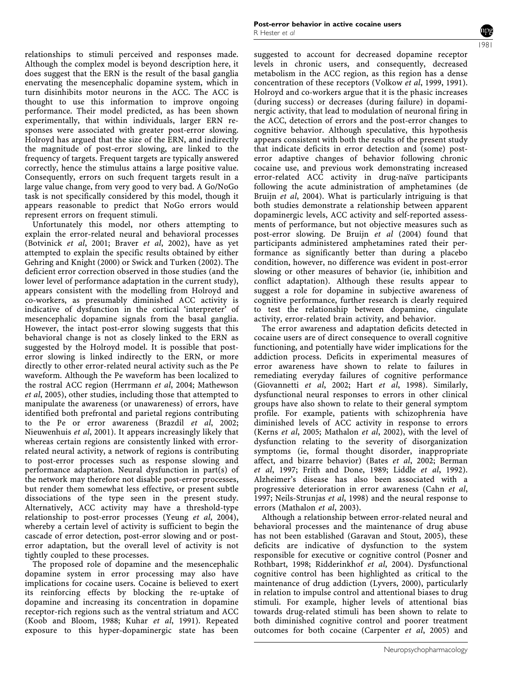relationships to stimuli perceived and responses made. Although the complex model is beyond description here, it does suggest that the ERN is the result of the basal ganglia enervating the mesencephalic dopamine system, which in turn disinhibits motor neurons in the ACC. The ACC is thought to use this information to improve ongoing performance. Their model predicted, as has been shown experimentally, that within individuals, larger ERN responses were associated with greater post-error slowing. Holroyd has argued that the size of the ERN, and indirectly the magnitude of post-error slowing, are linked to the frequency of targets. Frequent targets are typically answered correctly, hence the stimulus attains a large positive value. Consequently, errors on such frequent targets result in a large value change, from very good to very bad. A Go/NoGo task is not specifically considered by this model, though it appears reasonable to predict that NoGo errors would represent errors on frequent stimuli.

Unfortunately this model, nor others attempting to explain the error-related neural and behavioral processes (Botvinick et al, 2001; Braver et al, 2002), have as yet attempted to explain the specific results obtained by either Gehring and Knight (2000) or Swick and Turken (2002). The deficient error correction observed in those studies (and the lower level of performance adaptation in the current study), appears consistent with the modelling from Holroyd and co-workers, as presumably diminished ACC activity is indicative of dysfunction in the cortical 'interpreter' of mesencephalic dopamine signals from the basal ganglia. However, the intact post-error slowing suggests that this behavioral change is not as closely linked to the ERN as suggested by the Holroyd model. It is possible that posterror slowing is linked indirectly to the ERN, or more directly to other error-related neural activity such as the Pe waveform. Although the Pe waveform has been localized to the rostral ACC region (Herrmann et al, 2004; Mathewson et al, 2005), other studies, including those that attempted to manipulate the awareness (or unawareness) of errors, have identified both prefrontal and parietal regions contributing to the Pe or error awareness (Brazdil et al, 2002; Nieuwenhuis et al, 2001). It appears increasingly likely that whereas certain regions are consistently linked with errorrelated neural activity, a network of regions is contributing to post-error processes such as response slowing and performance adaptation. Neural dysfunction in part(s) of the network may therefore not disable post-error processes, but render them somewhat less effective, or present subtle dissociations of the type seen in the present study. Alternatively, ACC activity may have a threshold-type relationship to post-error processes (Yeung et al, 2004), whereby a certain level of activity is sufficient to begin the cascade of error detection, post-error slowing and or posterror adaptation, but the overall level of activity is not tightly coupled to these processes.

The proposed role of dopamine and the mesencephalic dopamine system in error processing may also have implications for cocaine users. Cocaine is believed to exert its reinforcing effects by blocking the re-uptake of dopamine and increasing its concentration in dopamine receptor-rich regions such as the ventral striatum and ACC (Koob and Bloom, 1988; Kuhar et al, 1991). Repeated exposure to this hyper-dopaminergic state has been

suggested to account for decreased dopamine receptor levels in chronic users, and consequently, decreased metabolism in the ACC region, as this region has a dense concentration of these receptors (Volkow et al, 1999, 1991). Holroyd and co-workers argue that it is the phasic increases (during success) or decreases (during failure) in dopaminergic activity, that lead to modulation of neuronal firing in the ACC, detection of errors and the post-error changes to cognitive behavior. Although speculative, this hypothesis appears consistent with both the results of the present study that indicate deficits in error detection and (some) posterror adaptive changes of behavior following chronic cocaine use, and previous work demonstrating increased error-related ACC activity in drug-naïve participants following the acute administration of amphetamines (de Bruijn et al, 2004). What is particularly intriguing is that both studies demonstrate a relationship between apparent dopaminergic levels, ACC activity and self-reported assessments of performance, but not objective measures such as post-error slowing. De Bruijn et al (2004) found that participants administered amphetamines rated their performance as significantly better than during a placebo condition, however, no difference was evident in post-error slowing or other measures of behavior (ie, inhibition and conflict adaptation). Although these results appear to suggest a role for dopamine in subjective awareness of cognitive performance, further research is clearly required to test the relationship between dopamine, cingulate activity, error-related brain activity, and behavior.

The error awareness and adaptation deficits detected in cocaine users are of direct consequence to overall cognitive functioning, and potentially have wider implications for the addiction process. Deficits in experimental measures of error awareness have shown to relate to failures in remediating everyday failures of cognitive performance (Giovannetti et al, 2002; Hart et al, 1998). Similarly, dysfunctional neural responses to errors in other clinical groups have also shown to relate to their general symptom profile. For example, patients with schizophrenia have diminished levels of ACC activity in response to errors (Kerns et al, 2005; Mathalon et al, 2002), with the level of dysfunction relating to the severity of disorganization symptoms (ie, formal thought disorder, inappropriate affect, and bizarre behavior) (Bates *et al*, 2002; Berman et al, 1997; Frith and Done, 1989; Liddle et al, 1992). Alzheimer's disease has also been associated with a progressive deterioration in error awareness (Cahn et al, 1997; Neils-Strunjas et al, 1998) and the neural response to errors (Mathalon et al, 2003).

Although a relationship between error-related neural and behavioral processes and the maintenance of drug abuse has not been established (Garavan and Stout, 2005), these deficits are indicative of dysfunction to the system responsible for executive or cognitive control (Posner and Rothbart, 1998; Ridderinkhof et al, 2004). Dysfunctional cognitive control has been highlighted as critical to the maintenance of drug addiction (Lyvers, 2000), particularly in relation to impulse control and attentional biases to drug stimuli. For example, higher levels of attentional bias towards drug-related stimuli has been shown to relate to both diminished cognitive control and poorer treatment outcomes for both cocaine (Carpenter et al, 2005) and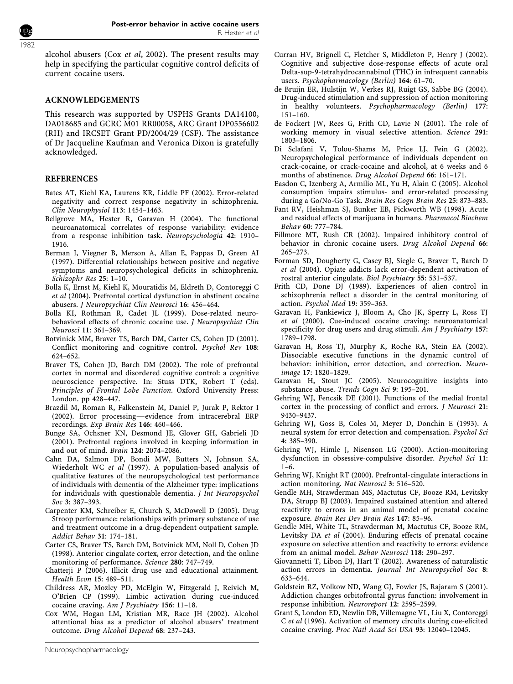alcohol abusers (Cox et al, 2002). The present results may help in specifying the particular cognitive control deficits of current cocaine users.

## ACKNOWLEDGEMENTS

This research was supported by USPHS Grants DA14100, DA018685 and GCRC M01 RR00058, ARC Grant DP0556602 (RH) and IRCSET Grant PD/2004/29 (CSF). The assistance of Dr Jacqueline Kaufman and Veronica Dixon is gratefully acknowledged.

# REFERENCES

- Bates AT, Kiehl KA, Laurens KR, Liddle PF (2002). Error-related negativity and correct response negativity in schizophrenia. Clin Neurophysiol 113: 1454–1463.
- Bellgrove MA, Hester R, Garavan H (2004). The functional neuroanatomical correlates of response variability: evidence from a response inhibition task. Neuropsychologia 42: 1910– 1916.
- Berman I, Viegner B, Merson A, Allan E, Pappas D, Green AI (1997). Differential relationships between positive and negative symptoms and neuropsychological deficits in schizophrenia. Schizophr Res 25: 1–10.
- Bolla K, Ernst M, Kiehl K, Mouratidis M, Eldreth D, Contoreggi C et al (2004). Prefrontal cortical dysfunction in abstinent cocaine abusers. J Neuropsychiat Clin Neurosci 16: 456–464.
- Bolla KI, Rothman R, Cadet JL (1999). Dose-related neurobehavioral effects of chronic cocaine use. J Neuropsychiat Clin Neurosci 11: 361–369.
- Botvinick MM, Braver TS, Barch DM, Carter CS, Cohen JD (2001). Conflict monitoring and cognitive control. Psychol Rev 108: 624–652.
- Braver TS, Cohen JD, Barch DM (2002). The role of prefrontal cortex in normal and disordered cognitive control: a cognitive neuroscience perspective. In: Stuss DTK, Robert T (eds). Principles of Frontal Lobe Function. Oxford University Press: London. pp 428–447.
- Brazdil M, Roman R, Falkenstein M, Daniel P, Jurak P, Rektor I (2002). Error processing-evidence from intracerebral ERP recordings. Exp Brain Res 146: 460–466.
- Bunge SA, Ochsner KN, Desmond JE, Glover GH, Gabrieli JD (2001). Prefrontal regions involved in keeping information in and out of mind. Brain 124: 2074–2086.
- Cahn DA, Salmon DP, Bondi MW, Butters N, Johnson SA, Wiederholt WC et al (1997). A population-based analysis of qualitative features of the neuropsychological test performance of individuals with dementia of the Alzheimer type: implications for individuals with questionable dementia. J Int Neuropsychol Soc 3: 387–393.
- Carpenter KM, Schreiber E, Church S, McDowell D (2005). Drug Stroop performance: relationships with primary substance of use and treatment outcome in a drug-dependent outpatient sample. Addict Behav 31: 174–181.
- Carter CS, Braver TS, Barch DM, Botvinick MM, Noll D, Cohen JD (1998). Anterior cingulate cortex, error detection, and the online monitoring of performance. Science 280: 747–749.
- Chatterji P (2006). Illicit drug use and educational attainment. Health Econ 15: 489–511.
- Childress AR, Mozley PD, McElgin W, Fitzgerald J, Reivich M, O'Brien CP (1999). Limbic activation during cue-induced cocaine craving. Am J Psychiatry 156: 11–18.
- Cox WM, Hogan LM, Kristian MR, Race JH (2002). Alcohol attentional bias as a predictor of alcohol abusers' treatment outcome. Drug Alcohol Depend 68: 237–243.
- Curran HV, Brignell C, Fletcher S, Middleton P, Henry J (2002). Cognitive and subjective dose-response effects of acute oral Delta-sup-9-tetrahydrocannabinol (THC) in infrequent cannabis users. Psychopharmacology (Berlin) 164: 61–70.
- de Bruijn ER, Hulstijn W, Verkes RJ, Ruigt GS, Sabbe BG (2004). Drug-induced stimulation and suppression of action monitoring in healthy volunteers. Psychopharmacology (Berlin) 177: 151–160.
- de Fockert JW, Rees G, Frith CD, Lavie N (2001). The role of working memory in visual selective attention. Science 291: 1803–1806.
- Di Sclafani V, Tolou-Shams M, Price LJ, Fein G (2002). Neuropsychological performance of individuals dependent on crack-cocaine, or crack-cocaine and alcohol, at 6 weeks and 6 months of abstinence. Drug Alcohol Depend 66: 161–171.
- Easdon C, Izenberg A, Armilio ML, Yu H, Alain C (2005). Alcohol consumption impairs stimulus- and error-related processing during a Go/No-Go Task. Brain Res Cogn Brain Res 25: 873–883.
- Fant RV, Heishman SJ, Bunker EB, Pickworth WB (1998). Acute and residual effects of marijuana in humans. Pharmacol Biochem Behav 60: 777–784.
- Fillmore MT, Rush CR (2002). Impaired inhibitory control of behavior in chronic cocaine users. Drug Alcohol Depend 66: 265–273.
- Forman SD, Dougherty G, Casey BJ, Siegle G, Braver T, Barch D et al (2004). Opiate addicts lack error-dependent activation of rostral anterior cingulate. Biol Psychiatry 55: 531–537.
- Frith CD, Done DJ (1989). Experiences of alien control in schizophrenia reflect a disorder in the central monitoring of action. Psychol Med 19: 359–363.
- Garavan H, Pankiewicz J, Bloom A, Cho JK, Sperry L, Ross TJ et al (2000). Cue-induced cocaine craving: neuroanatomical specificity for drug users and drug stimuli. Am J Psychiatry 157: 1789–1798.
- Garavan H, Ross TJ, Murphy K, Roche RA, Stein EA (2002). Dissociable executive functions in the dynamic control of behavior: inhibition, error detection, and correction. Neuroimage 17: 1820–1829.
- Garavan H, Stout JC (2005). Neurocognitive insights into substance abuse. Trends Cogn Sci 9: 195–201.
- Gehring WJ, Fencsik DE (2001). Functions of the medial frontal cortex in the processing of conflict and errors. J Neurosci 21: 9430–9437.
- Gehring WJ, Goss B, Coles M, Meyer D, Donchin E (1993). A neural system for error detection and compensation. Psychol Sci 4: 385–390.
- Gehring WJ, Himle J, Nisenson LG (2000). Action-monitoring dysfunction in obsessive-compulsive disorder. Psychol Sci 11: 1–6.
- Gehring WJ, Knight RT (2000). Prefrontal-cingulate interactions in action monitoring. Nat Neurosci 3: 516–520.
- Gendle MH, Strawderman MS, Mactutus CF, Booze RM, Levitsky DA, Strupp BJ (2003). Impaired sustained attention and altered reactivity to errors in an animal model of prenatal cocaine exposure. Brain Res Dev Brain Res 147: 85–96.
- Gendle MH, White TL, Strawderman M, Mactutus CF, Booze RM, Levitsky DA et al (2004). Enduring effects of prenatal cocaine exposure on selective attention and reactivity to errors: evidence from an animal model. Behav Neurosci 118: 290–297.
- Giovannetti T, Libon DJ, Hart T (2002). Awareness of naturalistic action errors in dementia. Journal Int Neuropsychol Soc 8: 633–644.
- Goldstein RZ, Volkow ND, Wang GJ, Fowler JS, Rajaram S (2001). Addiction changes orbitofrontal gyrus function: involvement in response inhibition. Neuroreport 12: 2595–2599.
- Grant S, London ED, Newlin DB, Villemagne VL, Liu X, Contoreggi C et al (1996). Activation of memory circuits during cue-elicited cocaine craving. Proc Natl Acad Sci USA 93: 12040–12045.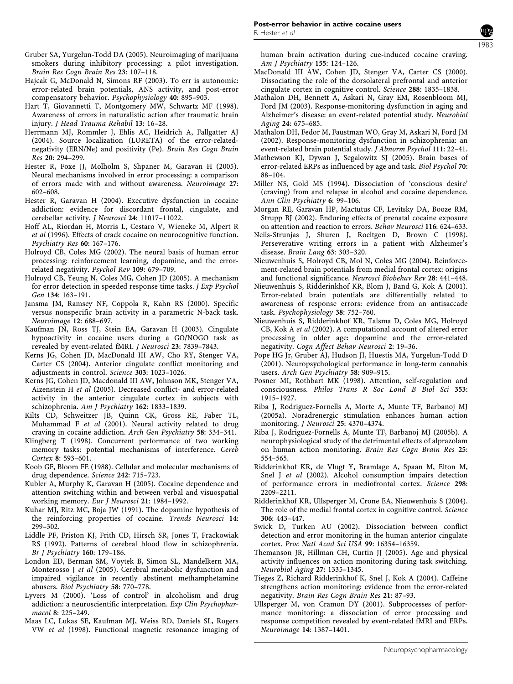- Hajcak G, McDonald N, Simons RF (2003). To err is autonomic: error-related brain potentials, ANS activity, and post-error compensatory behavior. Psychophysiology 40: 895–903.
- Hart T, Giovannetti T, Montgomery MW, Schwartz MF (1998). Awareness of errors in naturalistic action after traumatic brain injury. J Head Trauma Rehabil 13: 16–28.
- Herrmann MJ, Rommler J, Ehlis AC, Heidrich A, Fallgatter AJ (2004). Source localization (LORETA) of the error-relatednegativity (ERN/Ne) and positivity (Pe). Brain Res Cogn Brain  $Res 20 \cdot 294 - 299$
- Hester R, Foxe JJ, Molholm S, Shpaner M, Garavan H (2005). Neural mechanisms involved in error processing: a comparison of errors made with and without awareness. Neuroimage 27: 602–608.
- Hester R, Garavan H (2004). Executive dysfunction in cocaine addiction: evidence for discordant frontal, cingulate, and cerebellar activity. J Neurosci 24: 11017–11022.
- Hoff AL, Riordan H, Morris L, Cestaro V, Wieneke M, Alpert R et al (1996). Effects of crack cocaine on neurocognitive function. Psychiatry Res 60: 167–176.
- Holroyd CB, Coles MG (2002). The neural basis of human error processing: reinforcement learning, dopamine, and the errorrelated negativity. Psychol Rev 109: 679–709.
- Holroyd CB, Yeung N, Coles MG, Cohen JD (2005). A mechanism for error detection in speeded response time tasks. J Exp Psychol Gen 134: 163–191.
- Jansma JM, Ramsey NF, Coppola R, Kahn RS (2000). Specific versus nonspecific brain activity in a parametric N-back task. Neuroimage 12: 688–697.
- Kaufman JN, Ross TJ, Stein EA, Garavan H (2003). Cingulate hypoactivity in cocaine users during a GO/NOGO task as revealed by event-related fMRI. J Neurosci 23: 7839–7843.
- Kerns JG, Cohen JD, MacDonald III AW, Cho RY, Stenger VA, Carter CS (2004). Anterior cingulate conflict monitoring and adjustments in control. Science 303: 1023–1026.
- Kerns JG, Cohen JD, Macdonald III AW, Johnson MK, Stenger VA, Aizenstein H et al (2005). Decreased conflict- and error-related activity in the anterior cingulate cortex in subjects with schizophrenia. Am J Psychiatry 162: 1833–1839.
- Kilts CD, Schweitzer JB, Quinn CK, Gross RE, Faber TL, Muhammad F et al (2001). Neural activity related to drug craving in cocaine addiction. Arch Gen Psychiatry 58: 334–341.
- Klingberg T (1998). Concurrent performance of two working memory tasks: potential mechanisms of interference. Cereb Cortex 8: 593-601.
- Koob GF, Bloom FE (1988). Cellular and molecular mechanisms of drug dependence. Science 242: 715–723.
- Kubler A, Murphy K, Garavan H (2005). Cocaine dependence and attention switching within and between verbal and visuospatial working memory. Eur J Neurosci 21: 1984–1992.
- Kuhar MJ, Ritz MC, Boja JW (1991). The dopamine hypothesis of the reinforcing properties of cocaine. Trends Neurosci 14: 299–302.
- Liddle PF, Friston KJ, Frith CD, Hirsch SR, Jones T, Frackowiak RS (1992). Patterns of cerebral blood flow in schizophrenia. Br J Psychiatry 160: 179–186.
- London ED, Berman SM, Voytek B, Simon SL, Mandelkern MA, Monterosso J et al (2005). Cerebral metabolic dysfunction and impaired vigilance in recently abstinent methamphetamine abusers. Biol Psychiatry 58: 770–778.
- Lyvers M (2000). 'Loss of control' in alcoholism and drug addiction: a neuroscientific interpretation. Exp Clin Psychopharmacol 8: 225–249.
- Maas LC, Lukas SE, Kaufman MJ, Weiss RD, Daniels SL, Rogers VW et al (1998). Functional magnetic resonance imaging of

human brain activation during cue-induced cocaine craving. Am J Psychiatry 155: 124–126.

- MacDonald III AW, Cohen JD, Stenger VA, Carter CS (2000). Dissociating the role of the dorsolateral prefrontal and anterior cingulate cortex in cognitive control. Science 288: 1835–1838.
- Mathalon DH, Bennett A, Askari N, Gray EM, Rosenbloom MJ, Ford JM (2003). Response-monitoring dysfunction in aging and Alzheimer's disease: an event-related potential study. Neurobiol Aging 24: 675–685.
- Mathalon DH, Fedor M, Faustman WO, Gray M, Askari N, Ford JM (2002). Response-monitoring dysfunction in schizophrenia: an event-related brain potential study. J Abnorm Psychol 111: 22–41.
- Mathewson KJ, Dywan J, Segalowitz SJ (2005). Brain bases of error-related ERPs as influenced by age and task. Biol Psychol 70: 88–104.
- Miller NS, Gold MS (1994). Dissociation of 'conscious desire' (craving) from and relapse in alcohol and cocaine dependence. Ann Clin Psychiatry 6: 99–106.
- Morgan RE, Garavan HP, Mactutus CF, Levitsky DA, Booze RM, Strupp BJ (2002). Enduring effects of prenatal cocaine exposure on attention and reaction to errors. Behav Neurosci 116: 624–633.
- Neils-Strunjas J, Shuren J, Roeltgen D, Brown C (1998). Perseverative writing errors in a patient with Alzheimer's disease. Brain Lang 63: 303–320.
- Nieuwenhuis S, Holroyd CB, Mol N, Coles MG (2004). Reinforcement-related brain potentials from medial frontal cortex: origins and functional significance. Neurosci Biobehav Rev 28: 441–448.
- Nieuwenhuis S, Ridderinkhof KR, Blom J, Band G, Kok A (2001). Error-related brain potentials are differentially related to awareness of response errors: evidence from an antisaccade task. Psychophysiology 38: 752–760.
- Nieuwenhuis S, Ridderinkhof KR, Talsma D, Coles MG, Holroyd CB, Kok A et al (2002). A computational account of altered error processing in older age: dopamine and the error-related negativity. Cogn Affect Behav Neurosci 2: 19–36.
- Pope HG Jr, Gruber AJ, Hudson JI, Huestis MA, Yurgelun-Todd D (2001). Neuropsychological performance in long-term cannabis users. Arch Gen Psychiatry 58: 909–915.
- Posner MI, Rothbart MK (1998). Attention, self-regulation and consciousness. Philos Trans R Soc Lond B Biol Sci 353: 1915–1927.
- Riba J, Rodriguez-Fornells A, Morte A, Munte TF, Barbanoj MJ (2005a). Noradrenergic stimulation enhances human action monitoring. J Neurosci 25: 4370–4374.
- Riba J, Rodriguez-Fornells A, Munte TF, Barbanoj MJ (2005b). A neurophysiological study of the detrimental effects of alprazolam on human action monitoring. Brain Res Cogn Brain Res 25: 554–565.
- Ridderinkhof KR, de Vlugt Y, Bramlage A, Spaan M, Elton M, Snel J et al (2002). Alcohol consumption impairs detection of performance errors in mediofrontal cortex. Science 298: 2209–2211.
- Ridderinkhof KR, Ullsperger M, Crone EA, Nieuwenhuis S (2004). The role of the medial frontal cortex in cognitive control. Science 306: 443–447.
- Swick D, Turken AU (2002). Dissociation between conflict detection and error monitoring in the human anterior cingulate cortex. Proc Natl Acad Sci USA 99: 16354–16359.
- Themanson JR, Hillman CH, Curtin JJ (2005). Age and physical activity influences on action monitoring during task switching. Neurobiol Aging 27: 1335–1345.
- Tieges Z, Richard Ridderinkhof K, Snel J, Kok A (2004). Caffeine strengthens action monitoring: evidence from the error-related negativity. Brain Res Cogn Brain Res 21: 87–93.
- Ullsperger M, von Cramon DY (2001). Subprocesses of performance monitoring: a dissociation of error processing and response competition revealed by event-related fMRI and ERPs. Neuroimage 14: 1387–1401.